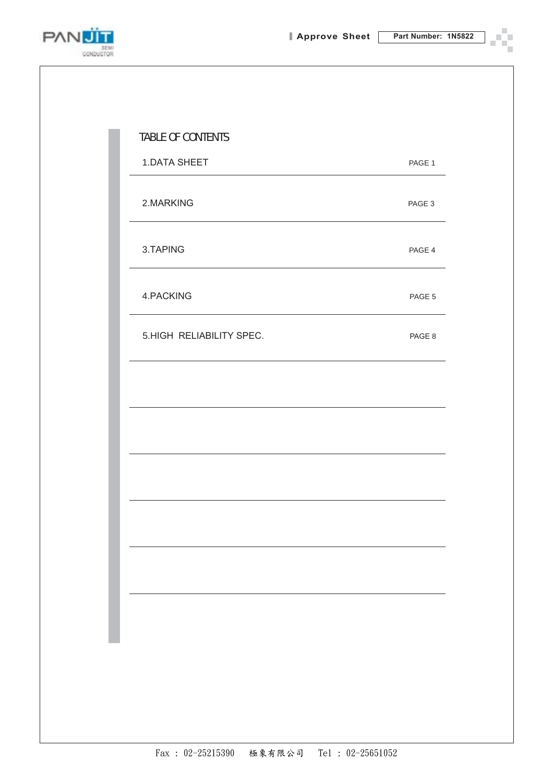

۹ ш n)

| <b>TABLE OF CONTENTS</b> |        |
|--------------------------|--------|
| <b>1.DATA SHEET</b>      | PAGE 1 |
| 2.MARKING                | PAGE 3 |
| 3.TAPING                 | PAGE 4 |
| 4.PACKING                | PAGE 5 |
| 5.HIGH RELIABILITY SPEC. | PAGE 8 |
|                          |        |
|                          |        |
|                          |        |
|                          |        |
|                          |        |
|                          |        |
|                          |        |
|                          |        |
|                          |        |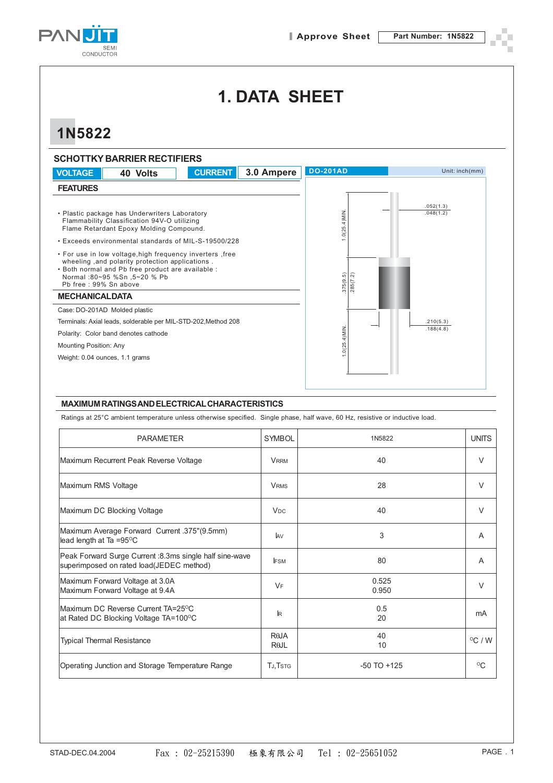

# **1. DATA SHEET**

# **1N5822**

|                                | <b>SCHOTTKY BARRIER RECTIFIERS</b>                                                                                                                                                               |                |            |                      |                        |
|--------------------------------|--------------------------------------------------------------------------------------------------------------------------------------------------------------------------------------------------|----------------|------------|----------------------|------------------------|
| <b>VOLTAGE</b>                 | 40 Volts                                                                                                                                                                                         | <b>CURRENT</b> | 3.0 Ampere | <b>DO-201AD</b>      | Unit: inch(mm)         |
| <b>FEATURES</b>                |                                                                                                                                                                                                  |                |            |                      |                        |
|                                | • Plastic package has Underwriters Laboratory<br>Flammability Classification 94V-O utilizing<br>Flame Retardant Epoxy Molding Compound.<br>• Exceeds environmental standards of MIL-S-19500/228  |                |            | $0(25.4)$ MIN        | .052(1.3)<br>.048(1.2) |
| Pb free: 99% Sn above          | . For use in low voltage, high frequency inverters, free<br>wheeling, and polarity protection applications.<br>. Both normal and Pb free product are available :<br>Normal: 80~95 %Sn .5~20 % Pb |                |            | 375(9.5)<br>285(7.2) |                        |
| <b>MECHANICALDATA</b>          |                                                                                                                                                                                                  |                |            |                      |                        |
|                                | Case: DO-201AD Molded plastic                                                                                                                                                                    |                |            |                      |                        |
|                                | Terminals: Axial leads, solderable per MIL-STD-202, Method 208                                                                                                                                   |                |            |                      | .210(5.3)<br>.188(4.8) |
|                                | Polarity: Color band denotes cathode                                                                                                                                                             |                |            | $1.0(25.4)$ MIN      |                        |
| <b>Mounting Position: Any</b>  |                                                                                                                                                                                                  |                |            |                      |                        |
| Weight: 0.04 ounces, 1.1 grams |                                                                                                                                                                                                  |                |            |                      |                        |
|                                |                                                                                                                                                                                                  |                |            |                      |                        |

#### **MAXIMUM RATINGS AND ELECTRICAL CHARACTERISTICS**

Ratings at 25°C ambient temperature unless otherwise specified. Single phase, half wave, 60 Hz, resistive or inductive load.

| <b>PARAMETER</b>                                                                                     | <b>SYMBOL</b>         | 1N5822          | <b>UNITS</b>     |
|------------------------------------------------------------------------------------------------------|-----------------------|-----------------|------------------|
| Maximum Recurrent Peak Reverse Voltage                                                               | <b>VRRM</b>           | 40              | V                |
| Maximum RMS Voltage                                                                                  | <b>VRMS</b>           | 28              | $\vee$           |
| Maximum DC Blocking Voltage                                                                          | <b>V<sub>DC</sub></b> | 40              | $\vee$           |
| Maximum Average Forward Current .375"(9.5mm)<br>lead length at Ta =95 $\mathrm{^{\circ}C}$           | <b>JAV</b>            | 3               | A                |
| Peak Forward Surge Current : 8.3ms single half sine-wave<br>superimposed on rated load(JEDEC method) | <b>IFSM</b>           | 80              | A                |
| Maximum Forward Voltage at 3.0A<br>Maximum Forward Voltage at 9.4A                                   | VF                    | 0.525<br>0.950  | $\vee$           |
| Maximum DC Reverse Current TA=25 <sup>o</sup> C<br>at Rated DC Blocking Voltage TA=100°C             | $\mathbb{R}$          | 0.5<br>20       | mA               |
| <b>Typical Thermal Resistance</b>                                                                    | RAJA<br>$R\theta$ JL  | 40<br>10        | $^{\circ}$ C / W |
| Operating Junction and Storage Temperature Range                                                     | <b>TJ, TSTG</b>       | $-50$ TO $+125$ | $^{\circ}$ C     |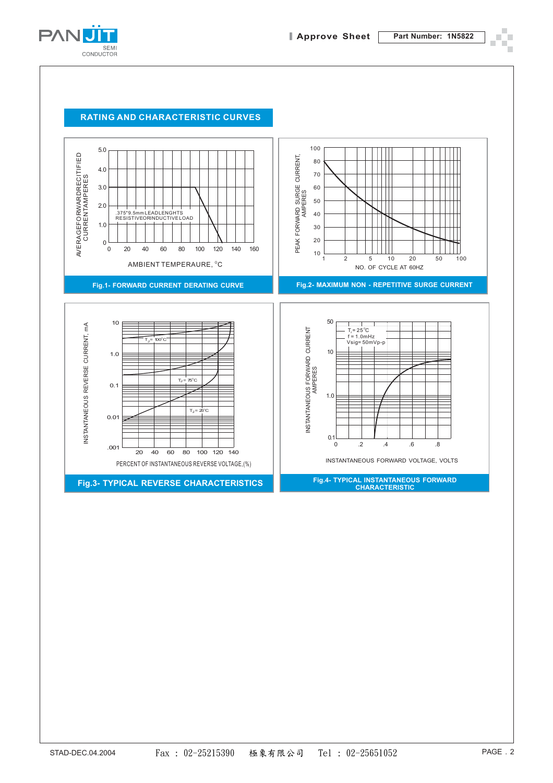

#### **RATING AND CHARACTERISTIC CURVES**

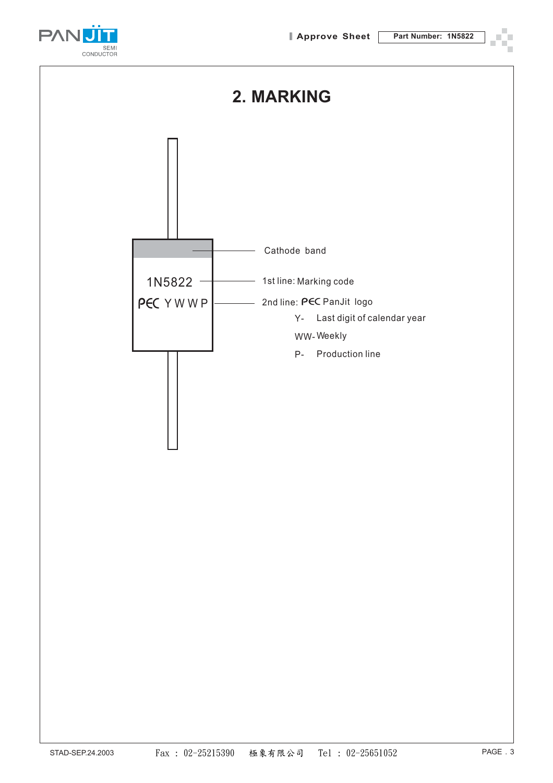

### **2. MARKING**

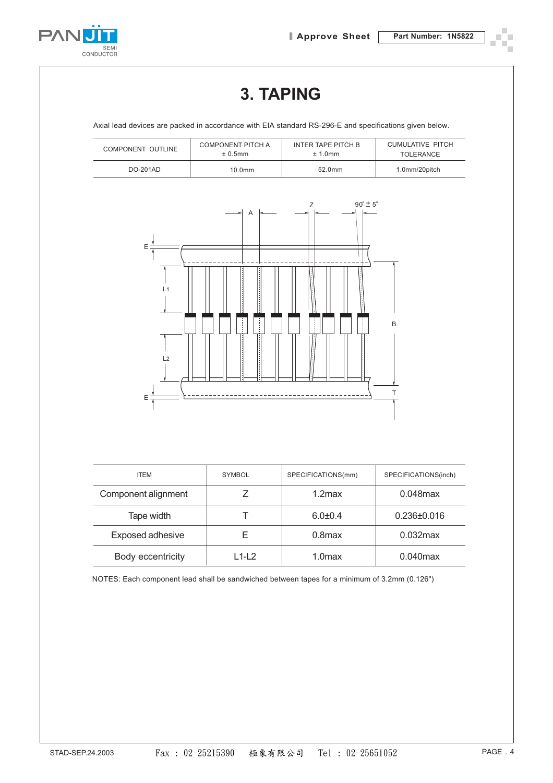



# **3. TAPING**

Axial lead devices are packed in accordance with EIA standard RS-296-E and specifications given below.

| COMPONENT OUTLINE | COMPONENT PITCH A  | INTER TAPE PITCH B | CUMULATIVE PITCH |
|-------------------|--------------------|--------------------|------------------|
|                   | $± 0.5$ mm         | $± 1.0$ mm         | <b>TOLERANCE</b> |
| DO-201AD          | 10.0 <sub>mm</sub> | 52.0mm             | 1.0mm/20pitch    |



| <b>ITEM</b>         | <b>SYMBOL</b> | SPECIFICATIONS(mm) | SPECIFICATIONS(inch) |
|---------------------|---------------|--------------------|----------------------|
| Component alignment |               | $1.2$ max          | $0.048$ max          |
| Tape width          |               | $6.0 + 0.4$        | $0.236 \pm 0.016$    |
| Exposed adhesive    |               | $0.8$ max          | $0.032$ max          |
| Body eccentricity   | L1-L2         | 1.0max             | $0.040$ max          |

NOTES: Each component lead shall be sandwiched between tapes for a minimum of 3.2mm (0.126")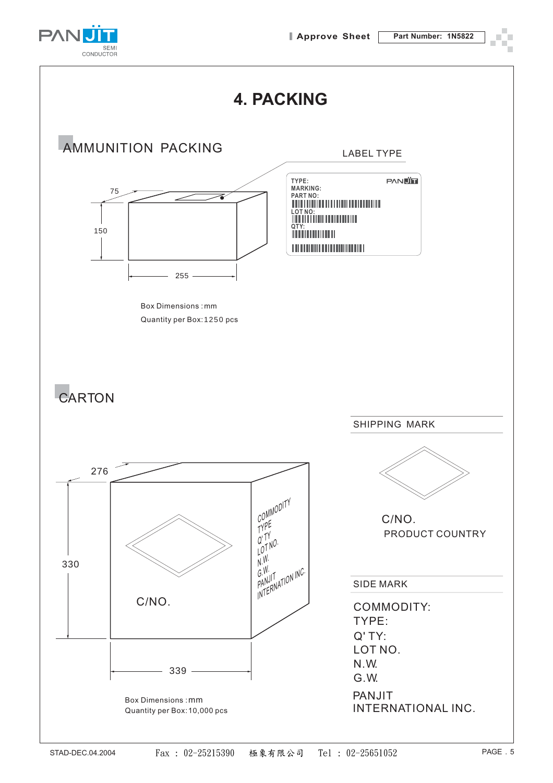

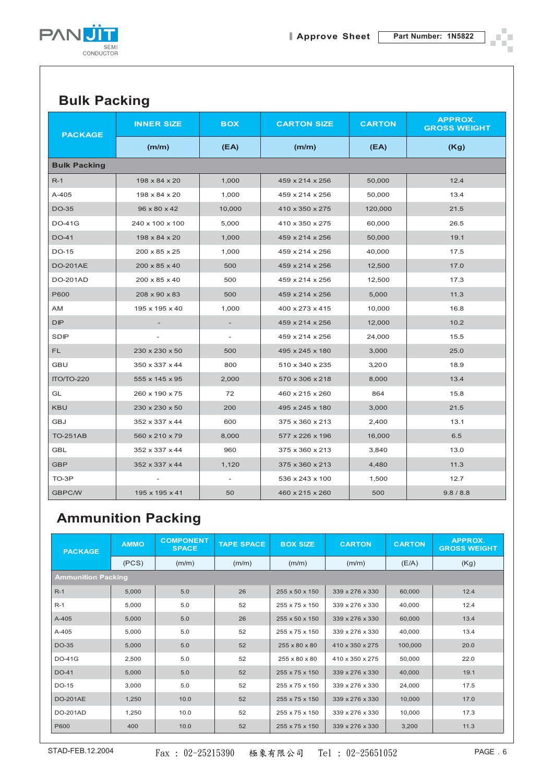

÷,

#### **Bulk Packing**

| <b>PACKAGE</b>      | <b>INNER SIZE</b>        | <b>BOX</b>               | <b>CARTON SIZE</b> | <b>CARTON</b> | <b>APPROX.</b><br><b>GROSS WEIGHT</b> |  |  |  |  |
|---------------------|--------------------------|--------------------------|--------------------|---------------|---------------------------------------|--|--|--|--|
|                     | (m/m)                    | (EA)                     | (m/m)              | (EA)          | (Kg)                                  |  |  |  |  |
| <b>Bulk Packing</b> |                          |                          |                    |               |                                       |  |  |  |  |
| $R-1$               | 198 x 84 x 20            | 1,000                    | 459 x 214 x 256    | 50,000        | 12.4                                  |  |  |  |  |
| $A-405$             | 198 x 84 x 20            | 1,000                    | 459 x 214 x 256    | 50,000        | 13.4                                  |  |  |  |  |
| <b>DO-35</b>        | 96 x 80 x 42             | 10,000                   | 410 x 350 x 275    | 120,000       | 21.5                                  |  |  |  |  |
| <b>DO-41G</b>       | 240 x 100 x 100          | 5,000                    | 410 x 350 x 275    | 60,000        | 26.5                                  |  |  |  |  |
| <b>DO-41</b>        | 198 x 84 x 20            | 1,000                    | 459 x 214 x 256    | 50,000        | 19.1                                  |  |  |  |  |
| <b>DO-15</b>        | 200 x 85 x 25            | 1,000                    | 459 x 214 x 256    | 40,000        | 17.5                                  |  |  |  |  |
| <b>DO-201AE</b>     | 200 x 85 x 40            | 500                      | 459 x 214 x 256    | 12,500        | 17.0                                  |  |  |  |  |
| <b>DO-201AD</b>     | 200 x 85 x 40            | 500                      | 459 x 214 x 256    | 12,500        | 17.3                                  |  |  |  |  |
| P600                | 208 x 90 x 83            | 500                      | 459 x 214 x 256    | 5,000         | 11.3                                  |  |  |  |  |
| AM                  | 195 x 195 x 40           | 1,000                    | 400 x 273 x 415    | 10,000        | 16.8                                  |  |  |  |  |
| <b>DIP</b>          |                          |                          | 459 x 214 x 256    | 12,000        | 10.2                                  |  |  |  |  |
| SDIP                | $\overline{\phantom{a}}$ | $\overline{\phantom{a}}$ | 459 x 214 x 256    | 24,000        | 15.5                                  |  |  |  |  |
| FL.                 | 230 x 230 x 50           | 500                      | 495 x 245 x 180    | 3,000         | 25.0                                  |  |  |  |  |
| <b>GBU</b>          | 350 x 337 x 44           | 800                      | 510 x 340 x 235    | 3,200         | 18.9                                  |  |  |  |  |
| <b>ПО/ТО-220</b>    | 555 x 145 x 95           | 2,000                    | 570 x 306 x 218    | 8,000         | 13.4                                  |  |  |  |  |
| GL                  | 260 x 190 x 75           | 72                       | 460 x 215 x 260    | 864           | 15.8                                  |  |  |  |  |
| <b>KBU</b>          | 230 x 230 x 50           | 200                      | 495 x 245 x 180    | 3,000         | 21.5                                  |  |  |  |  |
| <b>GBJ</b>          | 352 x 337 x 44           | 600                      | 375 x 360 x 213    | 2,400         | 13.1                                  |  |  |  |  |
| <b>TO-251AB</b>     | 560 x 210 x 79           | 8,000                    | 577 x 226 x 196    | 16,000        | 6.5                                   |  |  |  |  |
| <b>GBL</b>          | 352 x 337 x 44           | 960                      | 375 x 360 x 213    | 3,840         | 13.0                                  |  |  |  |  |
| <b>GBP</b>          | 352 x 337 x 44           | 1,120                    | 375 x 360 x 213    | 4,480         | 11.3                                  |  |  |  |  |
| TO-3P               |                          | $\overline{\phantom{a}}$ | 536 x 243 x 100    | 1,500         | 12.7                                  |  |  |  |  |
| <b>GBPC/W</b>       | 195 x 195 x 41           | 50                       | 460 x 215 x 260    | 500           | 9.8 / 8.8                             |  |  |  |  |

### **Ammunition Packing**

| <b>PACKAGE</b>            | <b>AMMO</b> | <b>COMPONENT</b><br><b>SPACE</b> | <b>TAPE SPACE</b> | <b>BOX SIZE</b> | <b>CARTON</b>               | <b>CARTON</b> | <b>APPROX.</b><br><b>GROSS WEIGHT</b> |
|---------------------------|-------------|----------------------------------|-------------------|-----------------|-----------------------------|---------------|---------------------------------------|
|                           | (PCS)       | (m/m)                            | (m/m)             | (m/m)           | (m/m)                       | (E/A)         | (Kg)                                  |
| <b>Ammunition Packing</b> |             |                                  |                   |                 |                             |               |                                       |
| $R-1$                     | 5,000       | 5.0                              | 26                | 255 x 50 x 150  | 339 x 276 x 330             | 60,000        | 12.4                                  |
| $R-1$                     | 5,000       | 5.0                              | 52                | 255 x 75 x 150  | 339 x 276 x 330             | 40,000        | 12.4                                  |
| A-405                     | 5,000       | 5.0                              | 26                | 255 x 50 x 150  | 339 x 276 x 330             | 60,000        | 13.4                                  |
| A-405                     | 5,000       | 5.0                              | 52                | 255 x 75 x 150  | 339 x 276 x 330             | 40,000        | 13.4                                  |
| DO-35                     | 5,000       | 5.0                              | 52                | 255 x 80 x 80   | 410 x 350 x 275             | 100,000       | 20.0                                  |
| <b>DO-41G</b>             | 2,500       | 5.0                              | 52                | 255 x 80 x 80   | $410 \times 350 \times 275$ | 50.000        | 22.0                                  |
| DO-41                     | 5,000       | 5.0                              | 52                | 255 x 75 x 150  | 339 x 276 x 330             | 40,000        | 19.1                                  |
| DO-15                     | 3.000       | 5.0                              | 52                | 255 x 75 x 150  | 339 x 276 x 330             | 24,000        | 17.5                                  |
| <b>DO-201AE</b>           | 1,250       | 10.0                             | 52                | 255 x 75 x 150  | 339 x 276 x 330             | 10,000        | 17.0                                  |
| <b>DO-201AD</b>           | 1,250       | 10.0                             | 52                | 255 x 75 x 150  | 339 x 276 x 330             | 10,000        | 17.3                                  |
| P600                      | 400         | 10.0                             | 52                | 255 x 75 x 150  | 339 x 276 x 330             | 3,200         | 11.3                                  |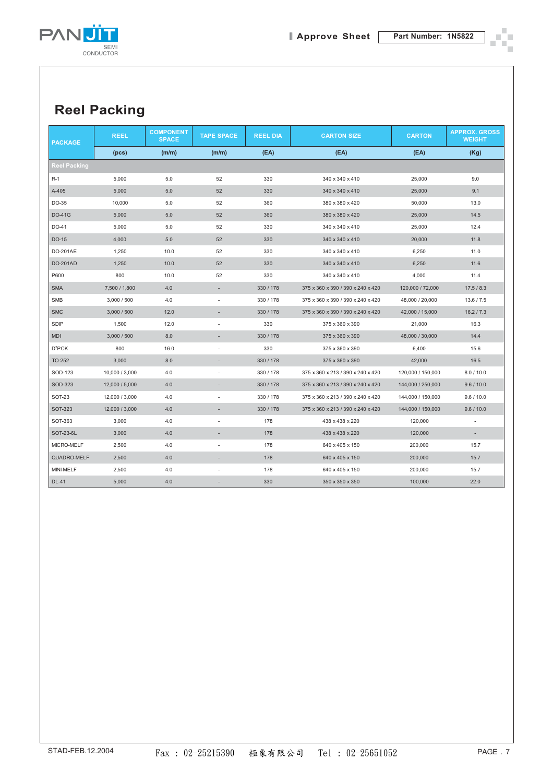

٠

п ÷

## **Reel Packing**

| <b>PACKAGE</b>      | <b>REEL</b>    | <b>COMPONENT</b><br><b>SPACE</b> | <b>TAPE SPACE</b>        | <b>REEL DIA</b> | <b>CARTON SIZE</b>                | <b>CARTON</b>     | <b>APPROX. GROSS</b><br><b>WEIGHT</b> |
|---------------------|----------------|----------------------------------|--------------------------|-----------------|-----------------------------------|-------------------|---------------------------------------|
|                     | (pcs)          | (m/m)                            | (m/m)                    | (EA)            | (EA)                              | (EA)              | (Kg)                                  |
| <b>Reel Packing</b> |                |                                  |                          |                 |                                   |                   |                                       |
| $R-1$               | 5,000          | 5.0                              | 52                       | 330             | 340 x 340 x 410                   | 25,000            | 9.0                                   |
| A-405               | 5,000          | 5.0                              | 52                       | 330             | 340 x 340 x 410                   | 25,000            | 9.1                                   |
| DO-35               | 10,000         | 5.0                              | 52                       | 360             | 380 x 380 x 420                   | 50,000            | 13.0                                  |
| <b>DO-41G</b>       | 5,000          | 5.0                              | 52                       | 360             | 380 x 380 x 420                   | 25,000            | 14.5                                  |
| DO-41               | 5,000          | 5.0                              | 52                       | 330             | 340 x 340 x 410                   | 25,000            | 12.4                                  |
| DO-15               | 4,000          | 5.0                              | 52                       | 330             | 340 x 340 x 410                   | 20,000            | 11.8                                  |
| DO-201AE            | 1,250          | 10.0                             | 52                       | 330             | 340 x 340 x 410                   | 6,250             | 11.0                                  |
| <b>DO-201AD</b>     | 1,250          | 10.0                             | 52                       | 330             | 340 x 340 x 410                   | 6,250             | 11.6                                  |
| P600                | 800            | 10.0                             | 52                       | 330             | 340 x 340 x 410                   | 4,000             | 11.4                                  |
| <b>SMA</b>          | 7,500 / 1,800  | 4.0                              | ÷.                       | 330 / 178       | 375 x 360 x 390 / 390 x 240 x 420 | 120,000 / 72,000  | 17.5/8.3                              |
| <b>SMB</b>          | 3,000 / 500    | 4.0                              | $\overline{\phantom{a}}$ | 330 / 178       | 375 x 360 x 390 / 390 x 240 x 420 | 48,000 / 20,000   | 13.6 / 7.5                            |
| <b>SMC</b>          | 3,000 / 500    | 12.0                             |                          | 330 / 178       | 375 x 360 x 390 / 390 x 240 x 420 | 42,000 / 15,000   | 16.2 / 7.3                            |
| SDIP                | 1,500          | 12.0                             | ٠                        | 330             | 375 x 360 x 390                   | 21,000            | 16.3                                  |
| <b>MDI</b>          | 3,000 / 500    | 8.0                              | $\overline{\phantom{a}}$ | 330 / 178       | 375 x 360 x 390                   | 48,000 / 30,000   | 14.4                                  |
| D <sup>2</sup> PCK  | 800            | 16.0                             | ÷,                       | 330             | 375 x 360 x 390                   | 6,400             | 15.6                                  |
| TO-252              | 3,000          | 8.0                              | $\overline{\phantom{a}}$ | 330 / 178       | 375 x 360 x 390                   | 42,000            | 16.5                                  |
| SOD-123             | 10,000 / 3,000 | 4.0                              | $\overline{\phantom{a}}$ | 330 / 178       | 375 x 360 x 213 / 390 x 240 x 420 | 120,000 / 150,000 | 8.0 / 10.0                            |
| SOD-323             | 12,000 / 5,000 | 4.0                              | $\overline{\phantom{a}}$ | 330 / 178       | 375 x 360 x 213 / 390 x 240 x 420 | 144,000 / 250,000 | 9.6 / 10.0                            |
| <b>SOT-23</b>       | 12,000 / 3,000 | 4.0                              | ٠                        | 330 / 178       | 375 x 360 x 213 / 390 x 240 x 420 | 144,000 / 150,000 | 9.6 / 10.0                            |
| <b>SOT-323</b>      | 12,000 / 3,000 | 4.0                              | $\overline{\phantom{a}}$ | 330 / 178       | 375 x 360 x 213 / 390 x 240 x 420 | 144,000 / 150,000 | 9.6 / 10.0                            |
| SOT-363             | 3,000          | 4.0                              | $\overline{\phantom{m}}$ | 178             | 438 x 438 x 220                   | 120,000           | $\overline{\phantom{m}}$              |
| SOT-23-6L           | 3,000          | 4.0                              | $\overline{a}$           | 178             | 438 x 438 x 220                   | 120,000           | $\sim$                                |
| MICRO-MELF          | 2,500          | 4.0                              | $\overline{\phantom{m}}$ | 178             | 640 x 405 x 150                   | 200,000           | 15.7                                  |
| QUADRO-MELF         | 2,500          | 4.0                              | $\overline{a}$           | 178             | 640 x 405 x 150                   | 200,000           | 15.7                                  |
| MINI-MELF           | 2,500          | 4.0                              |                          | 178             | 640 x 405 x 150                   | 200,000           | 15.7                                  |
| <b>DL-41</b>        | 5,000          | 4.0                              |                          | 330             | 350 x 350 x 350                   | 100,000           | 22.0                                  |